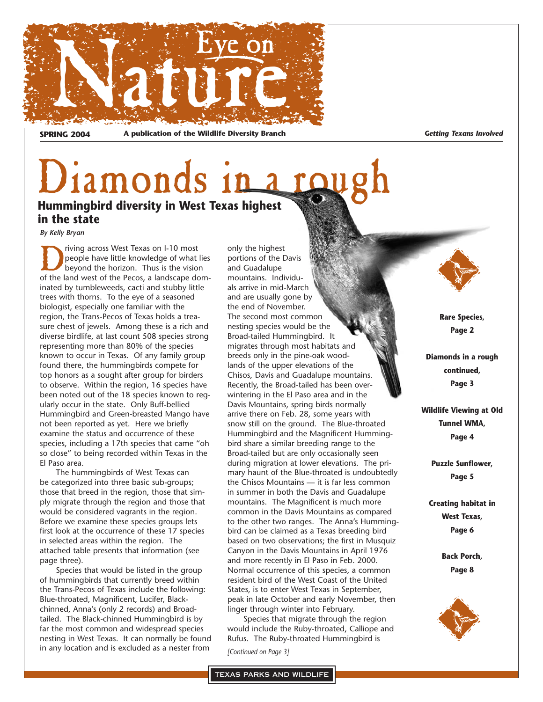

**SPRING 2004 A publication of the Wildlife Diversity Branch** *Getting Texans Involved*

## Diamonds in **Hummingbird diversity in West Texas highest in the state**

*By Kelly Bryan*

The priving across West Texas on I-10 most<br>people have little knowledge of what<br>beyond the horizon. Thus is the vision<br>of the land west of the Pecos a landscape do people have little knowledge of what lies beyond the horizon. Thus is the vision of the land west of the Pecos, a landscape dominated by tumbleweeds, cacti and stubby little trees with thorns. To the eye of a seasoned biologist, especially one familiar with the region, the Trans-Pecos of Texas holds a treasure chest of jewels. Among these is a rich and diverse birdlife, at last count 508 species strong representing more than 80% of the species known to occur in Texas. Of any family group found there, the hummingbirds compete for top honors as a sought after group for birders to observe. Within the region, 16 species have been noted out of the 18 species known to regularly occur in the state. Only Buff-bellied Hummingbird and Green-breasted Mango have not been reported as yet. Here we briefly examine the status and occurrence of these species, including a 17th species that came "oh so close" to being recorded within Texas in the El Paso area.

The hummingbirds of West Texas can be categorized into three basic sub-groups; those that breed in the region, those that simply migrate through the region and those that would be considered vagrants in the region. Before we examine these species groups lets first look at the occurrence of these 17 species in selected areas within the region. The attached table presents that information (see page three).

Species that would be listed in the group of hummingbirds that currently breed within the Trans-Pecos of Texas include the following: Blue-throated, Magnificent, Lucifer, Blackchinned, Anna's (only 2 records) and Broadtailed. The Black-chinned Hummingbird is by far the most common and widespread species nesting in West Texas. It can normally be found in any location and is excluded as a nester from

only the highest portions of the Davis and Guadalupe mountains. Individuals arrive in mid-March and are usually gone by the end of November. The second most common nesting species would be the Broad-tailed Hummingbird. It migrates through most habitats and breeds only in the pine-oak woodlands of the upper elevations of the Chisos, Davis and Guadalupe mountains. Recently, the Broad-tailed has been overwintering in the El Paso area and in the Davis Mountains, spring birds normally arrive there on Feb. 28, some years with snow still on the ground. The Blue-throated Hummingbird and the Magnificent Hummingbird share a similar breeding range to the Broad-tailed but are only occasionally seen during migration at lower elevations. The primary haunt of the Blue-throated is undoubtedly the Chisos Mountains — it is far less common in summer in both the Davis and Guadalupe mountains. The Magnificent is much more common in the Davis Mountains as compared to the other two ranges. The Anna's Hummingbird can be claimed as a Texas breeding bird based on two observations; the first in Musquiz Canyon in the Davis Mountains in April 1976 and more recently in El Paso in Feb. 2000. Normal occurrence of this species, a common resident bird of the West Coast of the United States, is to enter West Texas in September, peak in late October and early November, then linger through winter into February.

Species that migrate through the region would include the Ruby-throated, Calliope and Rufus. The Ruby-throated Hummingbird is

*[Continued on Page 3]*

**Rare Species, Page 2**

**Diamonds in a rough continued, Page 3**

**Wildlife Viewing at Old Tunnel WMA, Page 4**

> **Puzzle Sunflower, Page 5**

**Creating habitat in West Texas, Page 6**

> **Back Porch, Page 8**

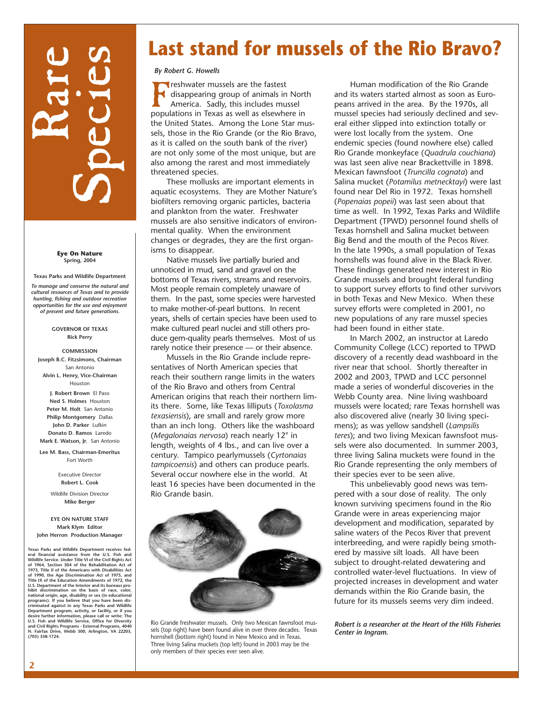# Rare Species

**Eye On Nature Spring, 2004**

**Texas Parks and Wildlife Department** *To manage and conserve the natural and cultural resources of Texas and to provide hunting, fishing and outdoor recreation opportunities for the use and enjoyment of present and future generations.*

#### **GOVERNOR OF TEXAS Rick Perry**

**COMMISSION Joseph B.C. Fitzsimons, Chairman** San Antonio **Alvin L. Henry, Vice-Chairman** Houston **J. Robert Brown** El Paso **Ned S. Holmes** Houston **Peter M. Holt** San Antonio **Philip Montgomery** Dallas **John D. Parker** Lufkin **Donato D. Ramos** Laredo **Mark E. Watson, Jr.** San Antonio

**Lee M. Bass, Chairman-Emeritus**  Fort Worth

> Executive Director **Robert L. Cook**

Wildlife Division Director **Mike Berger**

#### **EYE ON NATURE STAFF Mark Klym Editor John Herron Production Manager**

**Texas Parks and Wildlife Department receives federal financial assistance from the U.S. Fish and Wildlife Service. Under Title VI of the Civil Rights Act of 1964, Section 504 of the Rehabilitation Act of** 1973, Title II of the Americans with Disabilities Act<br>of 1990, the Age Discrimination Act of 1975, and<br>Title IX of the Education Amendments of 1972, the<br>U.S. Department of the Interior and its bureaus prohibit discrimination on the basis of race, color,<br>national origin, age, disability or sex (in educational<br>programs). If you believe that you have been dis-<br>criminated against in any Texas Parks and Wildlife<br>Department prog **desire further information, please call or write: The U.S. Fish and Wildlife Service, Office for Diversity and Civil Rights Programs - External Programs, 4040 N. Fairfax Drive, Webb 300, Arlington, VA 22203, (703) 358-1724.**

## **Last stand for mussels of the Rio Bravo?**

## *By Robert G. Howells*

**Freshwater mussels are the fastest<br>disappearing group of animals in<br>America. Sadly, this includes mus<br>populations in Texas as well as elsewhere** disappearing group of animals in North America. Sadly, this includes mussel populations in Texas as well as elsewhere in the United States. Among the Lone Star mussels, those in the Rio Grande (or the Rio Bravo, as it is called on the south bank of the river) are not only some of the most unique, but are also among the rarest and most immediately threatened species.

These mollusks are important elements in aquatic ecosystems. They are Mother Nature's biofilters removing organic particles, bacteria and plankton from the water. Freshwater mussels are also sensitive indicators of environmental quality. When the environment changes or degrades, they are the first organisms to disappear.

Native mussels live partially buried and unnoticed in mud, sand and gravel on the bottoms of Texas rivers, streams and reservoirs. Most people remain completely unaware of them. In the past, some species were harvested to make mother-of-pearl buttons. In recent years, shells of certain species have been used to make cultured pearl nuclei and still others produce gem-quality pearls themselves. Most of us rarely notice their presence — or their absence.

Mussels in the Rio Grande include representatives of North American species that reach their southern range limits in the waters of the Rio Bravo and others from Central American origins that reach their northern limits there. Some, like Texas lilliputs (*Toxolasma texasiensis*), are small and rarely grow more than an inch long. Others like the washboard (*Megalonaias nervosa*) reach nearly 12" in length, weights of 4 lbs., and can live over a century. Tampico pearlymussels (*Cyrtonaias tampicoensis*) and others can produce pearls. Several occur nowhere else in the world. At least 16 species have been documented in the Rio Grande basin.



Rio Grande freshwater mussels. Only two Mexican fawnsfoot mussels (top right) have been found alive in over three decades. Texas hornshell (bottom right) found in New Mexico and in Texas. Three living Salina muckets (top left) found in 2003 may be the only members of their species ever seen alive.

Human modification of the Rio Grande and its waters started almost as soon as Europeans arrived in the area. By the 1970s, all mussel species had seriously declined and several either slipped into extinction totally or were lost locally from the system. One endemic species (found nowhere else) called Rio Grande monkeyface (*Quadrula couchiana*) was last seen alive near Brackettville in 1898. Mexican fawnsfoot (*Truncilla cognata*) and Salina mucket (*Potamilus metnecktayi*) were last found near Del Rio in 1972. Texas hornshell (*Popenaias popeii*) was last seen about that time as well. In 1992, Texas Parks and Wildlife Department (TPWD) personnel found shells of Texas hornshell and Salina mucket between Big Bend and the mouth of the Pecos River. In the late 1990s, a small population of Texas hornshells was found alive in the Black River. These findings generated new interest in Rio Grande mussels and brought federal funding to support survey efforts to find other survivors in both Texas and New Mexico. When these survey efforts were completed in 2001, no new populations of any rare mussel species had been found in either state.

In March 2002, an instructor at Laredo Community College (LCC) reported to TPWD discovery of a recently dead washboard in the river near that school. Shortly thereafter in 2002 and 2003, TPWD and LCC personnel made a series of wonderful discoveries in the Webb County area. Nine living washboard mussels were located; rare Texas hornshell was also discovered alive (nearly 30 living specimens); as was yellow sandshell (*Lampsilis teres*); and two living Mexican fawnsfoot mussels were also documented. In summer 2003, three living Salina muckets were found in the Rio Grande representing the only members of their species ever to be seen alive.

This unbelievably good news was tempered with a sour dose of reality. The only known surviving specimens found in the Rio Grande were in areas experiencing major development and modification, separated by saline waters of the Pecos River that prevent interbreeding, and were rapidly being smothered by massive silt loads. All have been subject to drought-related dewatering and controlled water-level fluctuations. In view of projected increases in development and water demands within the Rio Grande basin, the future for its mussels seems very dim indeed.

*Robert is a researcher at the Heart of the Hills Fisheries Center in Ingram.*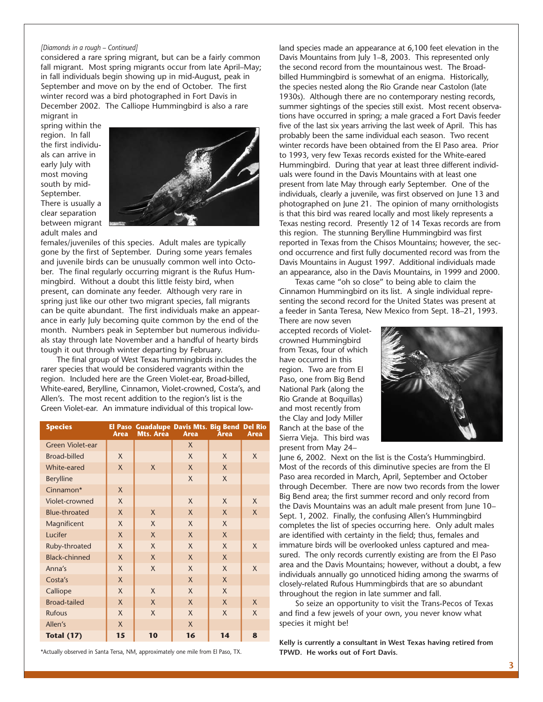## *[Diamonds in a rough – Continued]*

considered a rare spring migrant, but can be a fairly common fall migrant. Most spring migrants occur from late April–May; in fall individuals begin showing up in mid-August, peak in September and move on by the end of October. The first winter record was a bird photographed in Fort Davis in December 2002. The Calliope Hummingbird is also a rare migrant in

spring within the region. In fall the first individuals can arrive in early July with most moving south by mid-September. There is usually a clear separation between migrant adult males and



females/juveniles of this species. Adult males are typically gone by the first of September. During some years females and juvenile birds can be unusually common well into October. The final regularly occurring migrant is the Rufus Hummingbird. Without a doubt this little feisty bird, when present, can dominate any feeder. Although very rare in spring just like our other two migrant species, fall migrants can be quite abundant. The first individuals make an appearance in early July becoming quite common by the end of the month. Numbers peak in September but numerous individuals stay through late November and a handful of hearty birds tough it out through winter departing by February.

The final group of West Texas hummingbirds includes the rarer species that would be considered vagrants within the region. Included here are the Green Violet-ear, Broad-billed, White-eared, Berylline, Cinnamon, Violet-crowned, Costa's, and Allen's. The most recent addition to the region's list is the Green Violet-ear. An immature individual of this tropical low-

| <b>Species</b>          | Area         | El Paso Guadalupe Davis Mts. Big Bend Del Rio<br>Mts. Area | <b>Area</b>  | <b>Area</b>  | <b>Area</b>  |
|-------------------------|--------------|------------------------------------------------------------|--------------|--------------|--------------|
| <b>Green Violet-ear</b> |              |                                                            | X            |              |              |
| <b>Broad-billed</b>     | $\mathsf{X}$ |                                                            | X            | X            | X            |
| White-eared             | X            | $\mathsf{X}$                                               | X            | $\mathsf{X}$ |              |
| <b>Berylline</b>        |              |                                                            | $\mathsf{X}$ | $\mathsf{X}$ |              |
| Cinnamon*               | $\mathsf{X}$ |                                                            |              |              |              |
| Violet-crowned          | X            |                                                            | X            | $\mathsf{X}$ | $\mathsf{X}$ |
| <b>Blue-throated</b>    | $\mathsf{X}$ | $\mathsf{X}$                                               | $\mathsf{X}$ | $\mathsf{X}$ | $\mathsf{X}$ |
| Magnificent             | X            | X                                                          | $\times$     | $\times$     |              |
| Lucifer                 | $\mathsf{X}$ | $\mathsf{X}$                                               | $\mathsf{X}$ | $\mathsf{X}$ |              |
| Ruby-throated           | X            | $\mathsf{X}$                                               | X            | $\mathsf{X}$ | $\mathsf{X}$ |
| <b>Black-chinned</b>    | $\mathsf{X}$ | $\mathsf{X}$                                               | $\mathsf{X}$ | $\mathsf{X}$ |              |
| Anna's                  | X            | $\mathsf{X}$                                               | $\mathsf{X}$ | $\mathsf{X}$ | $\mathsf{X}$ |
| Costa's                 | $\mathsf{X}$ |                                                            | $\mathsf{X}$ | $\mathsf{X}$ |              |
| Calliope                | X            | $\mathsf{X}$                                               | $\mathsf{X}$ | $\mathsf{X}$ |              |
| <b>Broad-tailed</b>     | $\mathsf{X}$ | $\mathsf{X}$                                               | $\mathsf{X}$ | $\mathsf{X}$ | $\mathsf{X}$ |
| <b>Rufous</b>           | X            | X                                                          | X            | $\mathsf{X}$ | X            |
| Allen's                 | $\mathsf{X}$ |                                                            | $\mathsf{X}$ |              |              |
| <b>Total (17)</b>       | 15           | 10                                                         | 16           | 14           | 8            |

\*Actually observed in Santa Tersa, NM, approximately one mile from El Paso, TX.

land species made an appearance at 6,100 feet elevation in the Davis Mountains from July 1–8, 2003. This represented only the second record from the mountainous west. The Broadbilled Hummingbird is somewhat of an enigma. Historically, the species nested along the Rio Grande near Castolon (late 1930s). Although there are no contemporary nesting records, summer sightings of the species still exist. Most recent observations have occurred in spring; a male graced a Fort Davis feeder five of the last six years arriving the last week of April. This has probably been the same individual each season. Two recent winter records have been obtained from the El Paso area. Prior to 1993, very few Texas records existed for the White-eared Hummingbird. During that year at least three different individuals were found in the Davis Mountains with at least one present from late May through early September. One of the individuals, clearly a juvenile, was first observed on June 13 and photographed on June 21. The opinion of many ornithologists is that this bird was reared locally and most likely represents a Texas nesting record. Presently 12 of 14 Texas records are from this region. The stunning Berylline Hummingbird was first reported in Texas from the Chisos Mountains; however, the second occurrence and first fully documented record was from the Davis Mountains in August 1997. Additional individuals made an appearance, also in the Davis Mountains, in 1999 and 2000.

Texas came "oh so close" to being able to claim the Cinnamon Hummingbird on its list. A single individual representing the second record for the United States was present at a feeder in Santa Teresa, New Mexico from Sept. 18–21, 1993.

There are now seven accepted records of Violetcrowned Hummingbird from Texas, four of which have occurred in this region. Two are from El Paso, one from Big Bend National Park (along the Rio Grande at Boquillas) and most recently from the Clay and Jody Miller Ranch at the base of the Sierra Vieja. This bird was present from May 24–



June 6, 2002. Next on the list is the Costa's Hummingbird. Most of the records of this diminutive species are from the El Paso area recorded in March, April, September and October through December. There are now two records from the lower Big Bend area; the first summer record and only record from the Davis Mountains was an adult male present from June 10– Sept. 1, 2002. Finally, the confusing Allen's Hummingbird completes the list of species occurring here. Only adult males are identified with certainty in the field; thus, females and immature birds will be overlooked unless captured and measured. The only records currently existing are from the El Paso area and the Davis Mountains; however, without a doubt, a few individuals annually go unnoticed hiding among the swarms of closely-related Rufous Hummingbirds that are so abundant throughout the region in late summer and fall.

So seize an opportunity to visit the Trans-Pecos of Texas and find a few jewels of your own, you never know what species it might be!

**Kelly is currently a consultant in West Texas having retired from TPWD. He works out of Fort Davis.**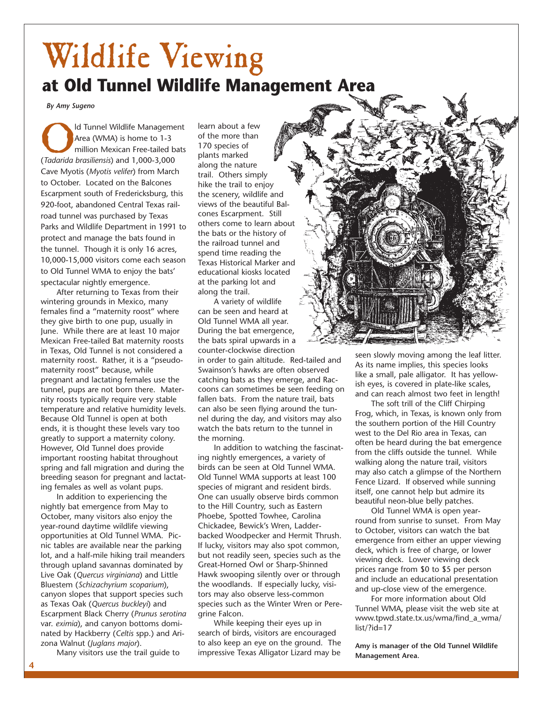## Wildlife Viewing **at Old Tunnel Wildlife Management Area**

*By Amy Sugeno*

Id Tunnel Wildlife Management Area (WMA) is home to 1-3 million Mexican Free-tailed bats (*Tadarida brasiliensis*) and 1,000-3,000 Cave Myotis (*Myotis velifer*) from March to October. Located on the Balcones Escarpment south of Fredericksburg, this 920-foot, abandoned Central Texas railroad tunnel was purchased by Texas Parks and Wildlife Department in 1991 to protect and manage the bats found in the tunnel. Though it is only 16 acres, 10,000-15,000 visitors come each season to Old Tunnel WMA to enjoy the bats' spectacular nightly emergence.

After returning to Texas from their wintering grounds in Mexico, many females find a "maternity roost" where they give birth to one pup, usually in June. While there are at least 10 major Mexican Free-tailed Bat maternity roosts in Texas, Old Tunnel is not considered a maternity roost. Rather, it is a "pseudomaternity roost" because, while pregnant and lactating females use the tunnel, pups are not born there. Maternity roosts typically require very stable temperature and relative humidity levels. Because Old Tunnel is open at both ends, it is thought these levels vary too greatly to support a maternity colony. However, Old Tunnel does provide important roosting habitat throughout spring and fall migration and during the breeding season for pregnant and lactating females as well as volant pups.

In addition to experiencing the nightly bat emergence from May to October, many visitors also enjoy the year-round daytime wildlife viewing opportunities at Old Tunnel WMA. Picnic tables are available near the parking lot, and a half-mile hiking trail meanders through upland savannas dominated by Live Oak (*Quercus virginiana*) and Little Bluestem (*Schizachyrium scoparium*), canyon slopes that support species such as Texas Oak (*Quercus buckleyi*) and Escarpment Black Cherry (*Prunus serotina* var. *eximia*), and canyon bottoms dominated by Hackberry (*Celtis* spp.) and Arizona Walnut (*Juglans major*).

Many visitors use the trail guide to

learn about a few of the more than 170 species of plants marked along the nature trail. Others simply hike the trail to enjoy the scenery, wildlife and views of the beautiful Balcones Escarpment. Still others come to learn about the bats or the history of the railroad tunnel and spend time reading the Texas Historical Marker and educational kiosks located at the parking lot and along the trail.

A variety of wildlife can be seen and heard at Old Tunnel WMA all year. During the bat emergence, the bats spiral upwards in a counter-clockwise direction

in order to gain altitude. Red-tailed and Swainson's hawks are often observed catching bats as they emerge, and Raccoons can sometimes be seen feeding on fallen bats. From the nature trail, bats can also be seen flying around the tunnel during the day, and visitors may also watch the bats return to the tunnel in the morning.

In addition to watching the fascinating nightly emergences, a variety of birds can be seen at Old Tunnel WMA. Old Tunnel WMA supports at least 100 species of migrant and resident birds. One can usually observe birds common to the Hill Country, such as Eastern Phoebe, Spotted Towhee, Carolina Chickadee, Bewick's Wren, Ladderbacked Woodpecker and Hermit Thrush. If lucky, visitors may also spot common, but not readily seen, species such as the Great-Horned Owl or Sharp-Shinned Hawk swooping silently over or through the woodlands. If especially lucky, visitors may also observe less-common species such as the Winter Wren or Peregrine Falcon.

While keeping their eyes up in search of birds, visitors are encouraged to also keep an eye on the ground. The impressive Texas Alligator Lizard may be



seen slowly moving among the leaf litter. As its name implies, this species looks like a small, pale alligator. It has yellowish eyes, is covered in plate-like scales, and can reach almost two feet in length!

The soft trill of the Cliff Chirping Frog, which, in Texas, is known only from the southern portion of the Hill Country west to the Del Rio area in Texas, can often be heard during the bat emergence from the cliffs outside the tunnel. While walking along the nature trail, visitors may also catch a glimpse of the Northern Fence Lizard. If observed while sunning itself, one cannot help but admire its beautiful neon-blue belly patches.

Old Tunnel WMA is open yearround from sunrise to sunset. From May to October, visitors can watch the bat emergence from either an upper viewing deck, which is free of charge, or lower viewing deck. Lower viewing deck prices range from \$0 to \$5 per person and include an educational presentation and up-close view of the emergence.

For more information about Old Tunnel WMA, please visit the web site at www.tpwd.state.tx.us/wma/find\_a\_wma/ list/?id=17

**Amy is manager of the Old Tunnel Wildlife Management Area.**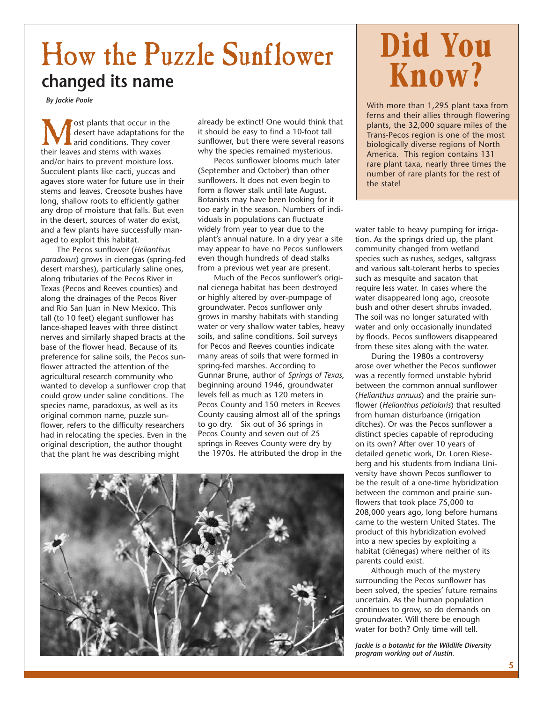## How the Puzzle Sunflower **changed its name**

*By Jackie Poole*

**M** ost plants that occur in the desert have adaptations for arid conditions. They cover their leaves and stems with waxes desert have adaptations for the arid conditions. They cover and/or hairs to prevent moisture loss. Succulent plants like cacti, yuccas and agaves store water for future use in their stems and leaves. Creosote bushes have long, shallow roots to efficiently gather any drop of moisture that falls. But even in the desert, sources of water do exist, and a few plants have successfully managed to exploit this habitat.

The Pecos sunflower (*Helianthus paradoxus*) grows in cienegas (spring-fed desert marshes), particularly saline ones, along tributaries of the Pecos River in Texas (Pecos and Reeves counties) and along the drainages of the Pecos River and Rio San Juan in New Mexico. This tall (to 10 feet) elegant sunflower has lance-shaped leaves with three distinct nerves and similarly shaped bracts at the base of the flower head. Because of its preference for saline soils, the Pecos sunflower attracted the attention of the agricultural research community who wanted to develop a sunflower crop that could grow under saline conditions. The species name, paradoxus, as well as its original common name, puzzle sunflower, refers to the difficulty researchers had in relocating the species. Even in the original description, the author thought that the plant he was describing might

already be extinct! One would think that it should be easy to find a 10-foot tall sunflower, but there were several reasons why the species remained mysterious.

Pecos sunflower blooms much later (September and October) than other sunflowers. It does not even begin to form a flower stalk until late August. Botanists may have been looking for it too early in the season. Numbers of individuals in populations can fluctuate widely from year to year due to the plant's annual nature. In a dry year a site may appear to have no Pecos sunflowers even though hundreds of dead stalks from a previous wet year are present.

Much of the Pecos sunflower's original cienega habitat has been destroyed or highly altered by over-pumpage of groundwater. Pecos sunflower only grows in marshy habitats with standing water or very shallow water tables, heavy soils, and saline conditions. Soil surveys for Pecos and Reeves counties indicate many areas of soils that were formed in spring-fed marshes. According to Gunnar Brune, author of *Springs of Texas*, beginning around 1946, groundwater levels fell as much as 120 meters in Pecos County and 150 meters in Reeves County causing almost all of the springs to go dry. Six out of 36 springs in Pecos County and seven out of 25 springs in Reeves County were dry by the 1970s. He attributed the drop in the



# **Did You Know?**

With more than 1,295 plant taxa from ferns and their allies through flowering plants, the 32,000 square miles of the Trans-Pecos region is one of the most biologically diverse regions of North America. This region contains 131 rare plant taxa, nearly three times the number of rare plants for the rest of the state!

water table to heavy pumping for irrigation. As the springs dried up, the plant community changed from wetland species such as rushes, sedges, saltgrass and various salt-tolerant herbs to species such as mesquite and sacaton that require less water. In cases where the water disappeared long ago, creosote bush and other desert shrubs invaded. The soil was no longer saturated with water and only occasionally inundated by floods. Pecos sunflowers disappeared from these sites along with the water.

During the 1980s a controversy arose over whether the Pecos sunflower was a recently formed unstable hybrid between the common annual sunflower (*Helianthus annuus*) and the prairie sunflower (*Helianthus petiolaris*) that resulted from human disturbance (irrigation ditches). Or was the Pecos sunflower a distinct species capable of reproducing on its own? After over 10 years of detailed genetic work, Dr. Loren Rieseberg and his students from Indiana University have shown Pecos sunflower to be the result of a one-time hybridization between the common and prairie sunflowers that took place 75,000 to 208,000 years ago, long before humans came to the western United States. The product of this hybridization evolved into a new species by exploiting a habitat (ciénegas) where neither of its parents could exist.

Although much of the mystery surrounding the Pecos sunflower has been solved, the species' future remains uncertain. As the human population continues to grow, so do demands on groundwater. Will there be enough water for both? Only time will tell.

*Jackie is a botanist for the Wildlife Diversity program working out of Austin.*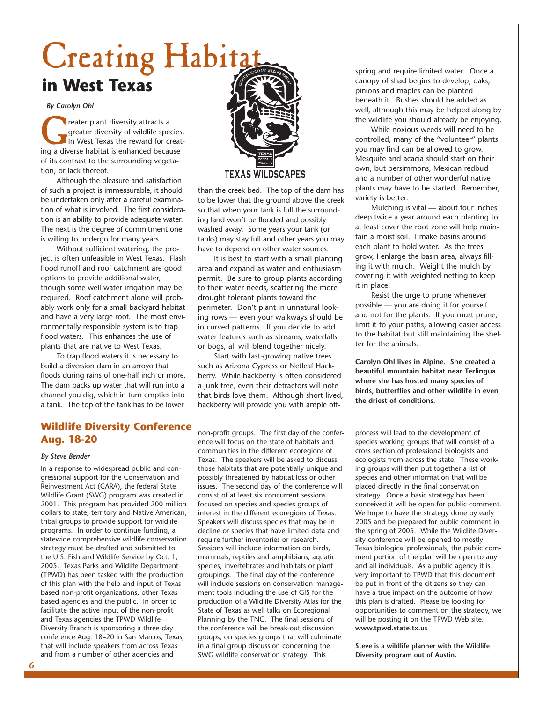# Creating Habita **in West Texas**

## *By Carolyn Ohl*

Freater plant diversity attracts a<br>greater diversity of wildlife species<br>ing a diverse habitat is enhanced because greater diversity of wildlife species. In West Texas the reward for creatof its contrast to the surrounding vegetation, or lack thereof.

Although the pleasure and satisfaction of such a project is immeasurable, it should be undertaken only after a careful examination of what is involved. The first consideration is an ability to provide adequate water. The next is the degree of commitment one is willing to undergo for many years.

Without sufficient watering, the project is often unfeasible in West Texas. Flash flood runoff and roof catchment are good options to provide additional water, though some well water irrigation may be required. Roof catchment alone will probably work only for a small backyard habitat and have a very large roof. The most environmentally responsible system is to trap flood waters. This enhances the use of plants that are native to West Texas.

To trap flood waters it is necessary to build a diversion dam in an arroyo that floods during rains of one-half inch or more. The dam backs up water that will run into a channel you dig, which in turn empties into a tank. The top of the tank has to be lower



than the creek bed. The top of the dam has to be lower that the ground above the creek so that when your tank is full the surrounding land won't be flooded and possibly washed away. Some years your tank (or tanks) may stay full and other years you may have to depend on other water sources.

It is best to start with a small planting area and expand as water and enthusiasm permit. Be sure to group plants according to their water needs, scattering the more drought tolerant plants toward the perimeter. Don't plant in unnatural looking rows — even your walkways should be in curved patterns. If you decide to add water features such as streams, waterfalls or bogs, all will blend together nicely.

Start with fast-growing native trees such as Arizona Cypress or Netleaf Hackberry. While hackberry is often considered a junk tree, even their detractors will note that birds love them. Although short lived, hackberry will provide you with ample offspring and require limited water. Once a canopy of shad begins to develop, oaks, pinions and maples can be planted beneath it. Bushes should be added as well, although this may be helped along by the wildlife you should already be enjoying.

While noxious weeds will need to be controlled, many of the "volunteer" plants you may find can be allowed to grow. Mesquite and acacia should start on their own, but persimmons, Mexican redbud and a number of other wonderful native plants may have to be started. Remember, variety is better.

Mulching is vital — about four inches deep twice a year around each planting to at least cover the root zone will help maintain a moist soil. I make basins around each plant to hold water. As the trees grow, I enlarge the basin area, always filling it with mulch. Weight the mulch by covering it with weighted netting to keep it in place.

Resist the urge to prune whenever possible — you are doing it for yourself and not for the plants. If you must prune, limit it to your paths, allowing easier access to the habitat but still maintaining the shelter for the animals.

**Carolyn Ohl lives in Alpine. She created a beautiful mountain habitat near Terlingua where she has hosted many species of birds, butterflies and other wildlife in even the driest of conditions.**

## **Wildlife Diversity Conference Aug. 18-20**

#### *By Steve Bender*

In a response to widespread public and congressional support for the Conservation and Reinvestment Act (CARA), the federal State Wildlife Grant (SWG) program was created in 2001. This program has provided 200 million dollars to state, territory and Native American, tribal groups to provide support for wildlife programs. In order to continue funding, a statewide comprehensive wildlife conservation strategy must be drafted and submitted to the U.S. Fish and Wildlife Service by Oct. 1, 2005. Texas Parks and Wildlife Department (TPWD) has been tasked with the production of this plan with the help and input of Texas based non-profit organizations, other Texas based agencies and the public. In order to facilitate the active input of the non-profit and Texas agencies the TPWD Wildlife Diversity Branch is sponsoring a three-day conference Aug. 18–20 in San Marcos, Texas, that will include speakers from across Texas and from a number of other agencies and

non-profit groups. The first day of the conference will focus on the state of habitats and communities in the different ecoregions of Texas. The speakers will be asked to discuss those habitats that are potentially unique and possibly threatened by habitat loss or other issues. The second day of the conference will consist of at least six concurrent sessions focused on species and species groups of interest in the different ecoregions of Texas. Speakers will discuss species that may be in decline or species that have limited data and require further inventories or research. Sessions will include information on birds, mammals, reptiles and amphibians, aquatic species, invertebrates and habitats or plant groupings. The final day of the conference will include sessions on conservation management tools including the use of GIS for the production of a Wildlife Diversity Atlas for the State of Texas as well talks on Ecoregional Planning by the TNC. The final sessions of the conference will be break-out discussion groups, on species groups that will culminate in a final group discussion concerning the SWG wildlife conservation strategy. This

process will lead to the development of species working groups that will consist of a cross section of professional biologists and ecologists from across the state. These working groups will then put together a list of species and other information that will be placed directly in the final conservation strategy. Once a basic strategy has been conceived it will be open for public comment. We hope to have the strategy done by early 2005 and be prepared for public comment in the spring of 2005. While the Wildlife Diversity conference will be opened to mostly Texas biological professionals, the public comment portion of the plan will be open to any and all individuals. As a public agency it is very important to TPWD that this document be put in front of the citizens so they can have a true impact on the outcome of how this plan is drafted. Please be looking for opportunities to comment on the strategy, we will be posting it on the TPWD Web site. **www.tpwd.state.tx.us**

**Steve is a wildlife planner with the Wildlife Diversity program out of Austin.**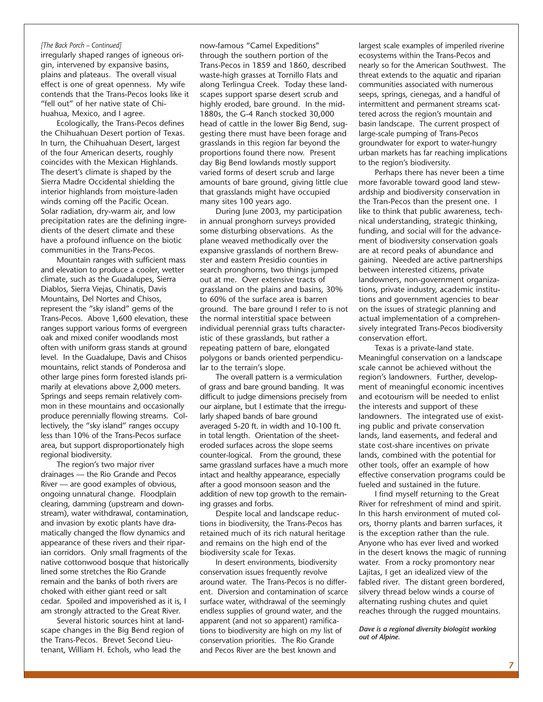### *[The Back Porch – Continued]*

irregularly shaped ranges of igneous origin, intervened by expansive basins, plains and plateaus. The overall visual effect is one of great openness. My wife contends that the Trans-Pecos looks like it "fell out" of her native state of Chihuahua, Mexico, and I agree.

Ecologically, the Trans-Pecos defines the Chihuahuan Desert portion of Texas. In turn, the Chihuahuan Desert, largest of the four American deserts, roughly coincides with the Mexican Highlands. The desert's climate is shaped by the Sierra Madre Occidental shielding the interior highlands from moisture-laden winds coming off the Pacific Ocean. Solar radiation, dry-warm air, and low precipitation rates are the defining ingredients of the desert climate and these have a profound influence on the biotic communities in the Trans-Pecos.

Mountain ranges with sufficient mass and elevation to produce a cooler, wetter climate, such as the Guadalupes, Sierra Diablos, Sierra Viejas, Chinatis, Davis Mountains, Del Nortes and Chisos, represent the "sky island" gems of the Trans-Pecos. Above 1,600 elevation, these ranges support various forms of evergreen oak and mixed conifer woodlands most often with uniform grass stands at ground level. In the Guadalupe, Davis and Chisos mountains, relict stands of Ponderosa and other large pines form forested islands primarily at elevations above 2,000 meters. Springs and seeps remain relatively common in these mountains and occasionally produce perennially flowing streams. Collectively, the "sky island" ranges occupy less than 10% of the Trans-Pecos surface area, but support disproportionately high regional biodiversity.

The region's two major river drainages — the Rio Grande and Pecos River — are good examples of obvious, ongoing unnatural change. Floodplain clearing, damming (upstream and downstream), water withdrawal, contamination, and invasion by exotic plants have dramatically changed the flow dynamics and appearance of these rivers and their riparian corridors. Only small fragments of the native cottonwood bosque that historically lined some stretches the Rio Grande remain and the banks of both rivers are choked with either giant reed or salt cedar. Spoiled and impoverished as it is, I am strongly attracted to the Great River.

Several historic sources hint at landscape changes in the Big Bend region of the Trans-Pecos. Brevet Second Lieutenant, William H. Echols, who lead the

now-famous "Camel Expeditions" through the southern portion of the Trans-Pecos in 1859 and 1860, described waste-high grasses at Tornillo Flats and along Terlingua Creek. Today these landscapes support sparse desert scrub and highly eroded, bare ground. In the mid-1880s, the G-4 Ranch stocked 30,000 head of cattle in the lower Big Bend, suggesting there must have been forage and grasslands in this region far beyond the proportions found there now. Present day Big Bend lowlands mostly support varied forms of desert scrub and large amounts of bare ground, giving little clue that grasslands might have occupied many sites 100 years ago.

During June 2003, my participation in annual pronghorn surveys provided some disturbing observations. As the plane weaved methodically over the expansive grasslands of northern Brewster and eastern Presidio counties in search pronghorns, two things jumped out at me. Over extensive tracts of grassland on the plains and basins, 30% to 60% of the surface area is barren ground. The bare ground I refer to is not the normal interstitial space between individual perennial grass tufts characteristic of these grasslands, but rather a repeating pattern of bare, elongated polygons or bands oriented perpendicular to the terrain's slope.

The overall pattern is a vermiculation of grass and bare ground banding. It was difficult to judge dimensions precisely from our airplane, but I estimate that the irregularly shaped bands of bare ground averaged 5-20 ft. in width and 10-100 ft. in total length. Orientation of the sheeteroded surfaces across the slope seems counter-logical. From the ground, these same grassland surfaces have a much more intact and healthy appearance, especially after a good monsoon season and the addition of new top growth to the remaining grasses and forbs.

Despite local and landscape reductions in biodiversity, the Trans-Pecos has retained much of its rich natural heritage and remains on the high end of the biodiversity scale for Texas.

In desert environments, biodiversity conservation issues frequently revolve around water. The Trans-Pecos is no different. Diversion and contamination of scarce surface water, withdrawal of the seemingly endless supplies of ground water, and the apparent (and not so apparent) ramifications to biodiversity are high on my list of conservation priorities. The Rio Grande and Pecos River are the best known and

largest scale examples of imperiled riverine ecosystems within the Trans-Pecos and nearly so for the American Southwest. The threat extends to the aquatic and riparian communities associated with numerous seeps, springs, cienegas, and a handful of intermittent and permanent streams scattered across the region's mountain and basin landscape. The current prospect of large-scale pumping of Trans-Pecos groundwater for export to water-hungry urban markets has far reaching implications to the region's biodiversity.

Perhaps there has never been a time more favorable toward good land stewardship and biodiversity conservation in the Tran-Pecos than the present one. I like to think that public awareness, technical understanding, strategic thinking, funding, and social will for the advancement of biodiversity conservation goals are at record peaks of abundance and gaining. Needed are active partnerships between interested citizens, private landowners, non-government organizations, private industry, academic institutions and government agencies to bear on the issues of strategic planning and actual implementation of a comprehensively integrated Trans-Pecos biodiversity conservation effort.

Texas is a private-land state. Meaningful conservation on a landscape scale cannot be achieved without the region's landowners. Further, development of meaningful economic incentives and ecotourism will be needed to enlist the interests and support of these landowners. The integrated use of existing public and private conservation lands, land easements, and federal and state cost-share incentives on private lands, combined with the potential for other tools, offer an example of how effective conservation programs could be fueled and sustained in the future.

I find myself returning to the Great River for refreshment of mind and spirit. In this harsh environment of muted colors, thorny plants and barren surfaces, it is the exception rather than the rule. Anyone who has ever lived and worked in the desert knows the magic of running water. From a rocky promontory near Lajitas, I get an idealized view of the fabled river. The distant green bordered, silvery thread below winds a course of alternating rushing chutes and quiet reaches through the rugged mountains.

*Dave is a regional diversity biologist working out of Alpine.*